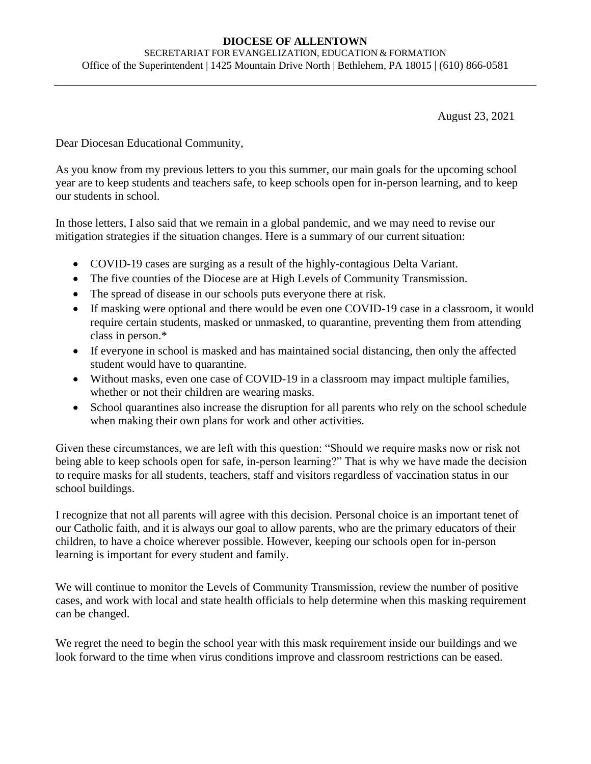## **DIOCESE OF ALLENTOWN** SECRETARIAT FOR EVANGELIZATION, EDUCATION & FORMATION Office of the Superintendent | 1425 Mountain Drive North | Bethlehem, PA 18015 | (610) 866-0581

August 23, 2021

Dear Diocesan Educational Community,

As you know from my previous letters to you this summer, our main goals for the upcoming school year are to keep students and teachers safe, to keep schools open for in-person learning, and to keep our students in school.

In those letters, I also said that we remain in a global pandemic, and we may need to revise our mitigation strategies if the situation changes. Here is a summary of our current situation:

- COVID-19 cases are surging as a result of the highly-contagious Delta Variant.
- The five counties of the Diocese are at High Levels of Community Transmission.
- The spread of disease in our schools puts everyone there at risk.
- If masking were optional and there would be even one COVID-19 case in a classroom, it would require certain students, masked or unmasked, to quarantine, preventing them from attending class in person.\*
- If everyone in school is masked and has maintained social distancing, then only the affected student would have to quarantine.
- Without masks, even one case of COVID-19 in a classroom may impact multiple families, whether or not their children are wearing masks.
- School quarantines also increase the disruption for all parents who rely on the school schedule when making their own plans for work and other activities.

Given these circumstances, we are left with this question: "Should we require masks now or risk not being able to keep schools open for safe, in-person learning?" That is why we have made the decision to require masks for all students, teachers, staff and visitors regardless of vaccination status in our school buildings.

I recognize that not all parents will agree with this decision. Personal choice is an important tenet of our Catholic faith, and it is always our goal to allow parents, who are the primary educators of their children, to have a choice wherever possible. However, keeping our schools open for in-person learning is important for every student and family.

We will continue to monitor the Levels of Community Transmission, review the number of positive cases, and work with local and state health officials to help determine when this masking requirement can be changed.

We regret the need to begin the school year with this mask requirement inside our buildings and we look forward to the time when virus conditions improve and classroom restrictions can be eased.